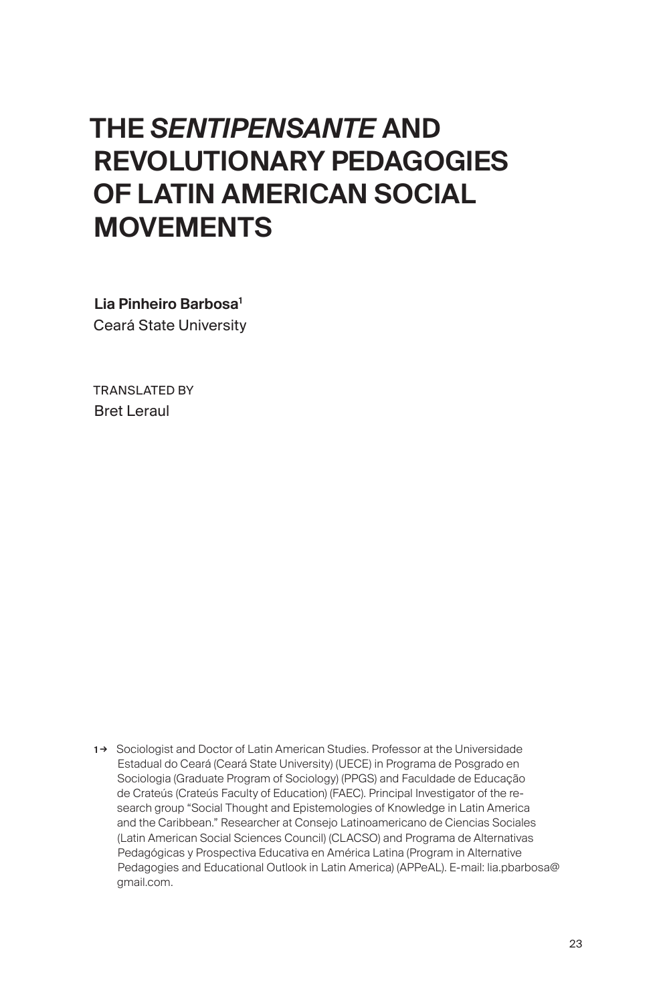# THE *SENTIPENSANTE* AND REVOLUTIONARY PEDAGOGIES OF LATIN AMERICAN SOCIAL **MOVEMENTS**

Lia Pinheiro Barbosa<sup>1</sup> Ceará State University

TRANSLATED BY Bret Leraul

1→ Sociologist and Doctor of Latin American Studies. Professor at the Universidade Estadual do Ceará (Ceará State University) (UECE) in Programa de Posgrado en Sociologia (Graduate Program of Sociology) (PPGS) and Faculdade de Educação de Crateús (Crateús Faculty of Education) (FAEC). Principal Investigator of the research group "Social Thought and Epistemologies of Knowledge in Latin America and the Caribbean." Researcher at Consejo Latinoamericano de Ciencias Sociales (Latin American Social Sciences Council) (CLACSO) and Programa de Alternativas Pedagógicas y Prospectiva Educativa en América Latina (Program in Alternative Pedagogies and Educational Outlook in Latin America) (APPeAL). E-mail: lia.pbarbosa@ gmail.com.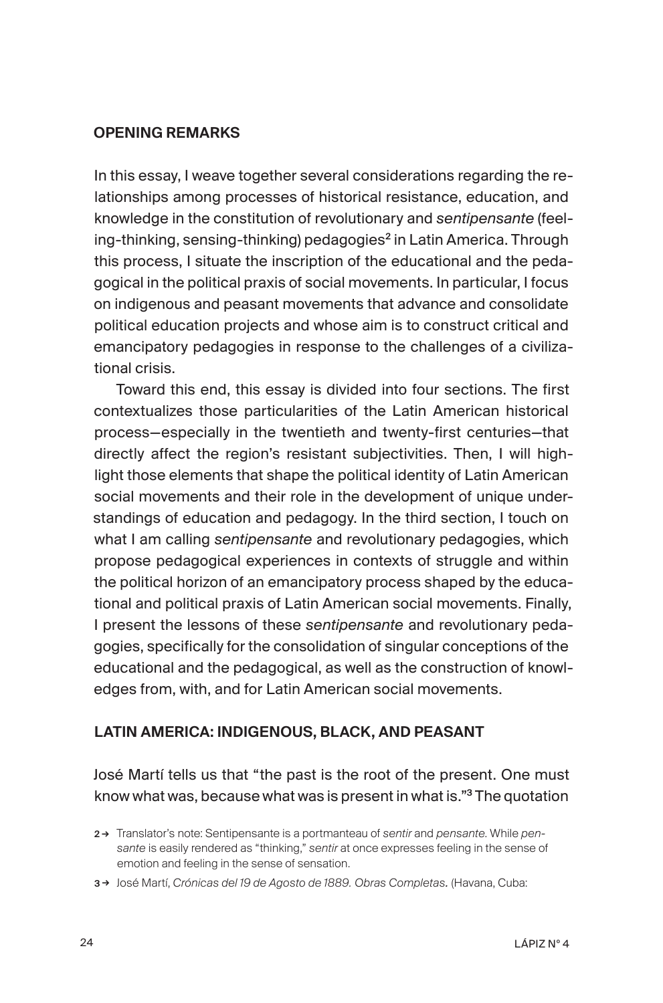### OPENING REMARKS

In this essay, I weave together several considerations regarding the relationships among processes of historical resistance, education, and knowledge in the constitution of revolutionary and *sentipensante* (feeling-thinking, sensing-thinking) pedagogies<sup>2</sup> in Latin America. Through this process, I situate the inscription of the educational and the pedagogical in the political praxis of social movements. In particular, I focus on indigenous and peasant movements that advance and consolidate political education projects and whose aim is to construct critical and emancipatory pedagogies in response to the challenges of a civilizational crisis.

Toward this end, this essay is divided into four sections. The first contextualizes those particularities of the Latin American historical process—especially in the twentieth and twenty-first centuries—that directly affect the region's resistant subjectivities. Then, I will highlight those elements that shape the political identity of Latin American social movements and their role in the development of unique understandings of education and pedagogy. In the third section, I touch on what I am calling *sentipensante* and revolutionary pedagogies, which propose pedagogical experiences in contexts of struggle and within the political horizon of an emancipatory process shaped by the educational and political praxis of Latin American social movements. Finally, I present the lessons of these *sentipensante* and revolutionary pedagogies, specifically for the consolidation of singular conceptions of the educational and the pedagogical, as well as the construction of knowledges from, with, and for Latin American social movements.

## LATIN AMERICA: INDIGENOUS, BLACK, AND PEASANT

José Martí tells us that "the past is the root of the present. One must know what was, because what was is present in what is."<sup>3</sup> The quotation

<sup>2</sup> → Translator's note: Sentipensante is a portmanteau of *sentir* and *pensante*. While *pensante* is easily rendered as "thinking," *sentir* at once expresses feeling in the sense of emotion and feeling in the sense of sensation.

<sup>3</sup> → José Martí, *Crónicas del 19 de Agosto de 1889. Obras Completas.* (Havana, Cuba: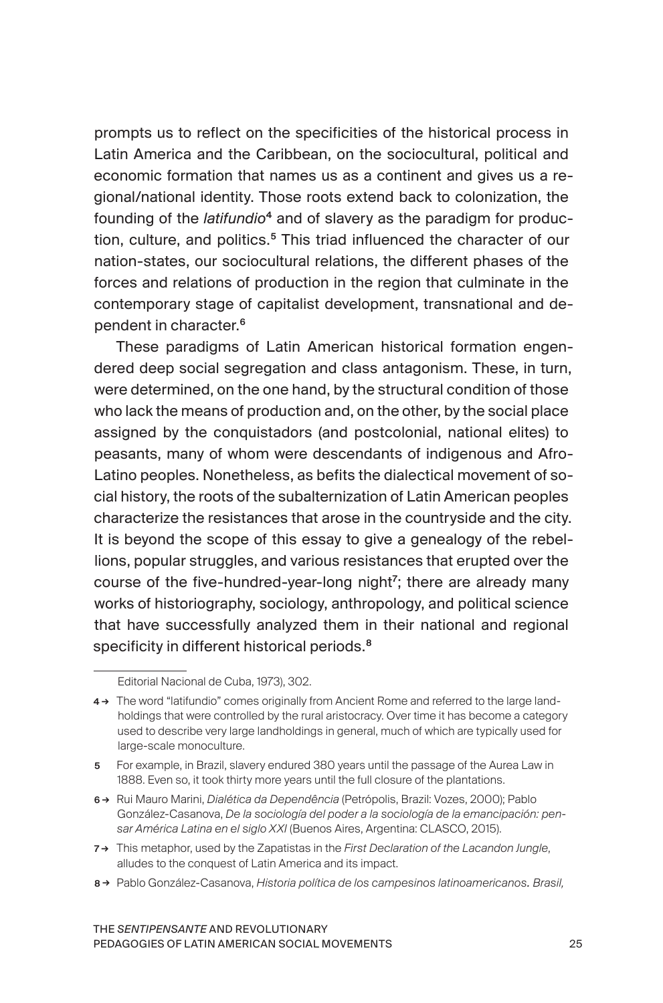prompts us to reflect on the specificities of the historical process in Latin America and the Caribbean, on the sociocultural, political and economic formation that names us as a continent and gives us a regional/national identity. Those roots extend back to colonization, the founding of the *latifundio*4 and of slavery as the paradigm for production, culture, and politics.<sup>5</sup> This triad influenced the character of our nation-states, our sociocultural relations, the different phases of the forces and relations of production in the region that culminate in the contemporary stage of capitalist development, transnational and dependent in character.<sup>6</sup>

These paradigms of Latin American historical formation engendered deep social segregation and class antagonism. These, in turn, were determined, on the one hand, by the structural condition of those who lack the means of production and, on the other, by the social place assigned by the conquistadors (and postcolonial, national elites) to peasants, many of whom were descendants of indigenous and Afro-Latino peoples. Nonetheless, as befits the dialectical movement of social history, the roots of the subalternization of Latin American peoples characterize the resistances that arose in the countryside and the city. It is beyond the scope of this essay to give a genealogy of the rebellions, popular struggles, and various resistances that erupted over the course of the five-hundred-year-long night<sup>7</sup>; there are already many works of historiography, sociology, anthropology, and political science that have successfully analyzed them in their national and regional specificity in different historical periods.<sup>8</sup>

- 7 → This metaphor, used by the Zapatistas in the *First Declaration of the Lacandon Jungle*, alludes to the conquest of Latin America and its impact.
- 8 → Pablo González-Casanova, *Historia política de los campesinos latinoamericanos. Brasil,*

Editorial Nacional de Cuba, 1973), 302.

<sup>4 →</sup> The word "latifundio" comes originally from Ancient Rome and referred to the large landholdings that were controlled by the rural aristocracy. Over time it has become a category used to describe very large landholdings in general, much of which are typically used for large-scale monoculture.

<sup>5</sup> For example, in Brazil, slavery endured 380 years until the passage of the Aurea Law in 1888. Even so, it took thirty more years until the full closure of the plantations.

<sup>6</sup> → Rui Mauro Marini, *Dialética da Dependência* (Petrópolis, Brazil: Vozes, 2000); Pablo González-Casanova, *De la sociología del poder a la sociología de la emancipación: pensar América Latina en el siglo XXI* (Buenos Aires, Argentina: CLASCO, 2015).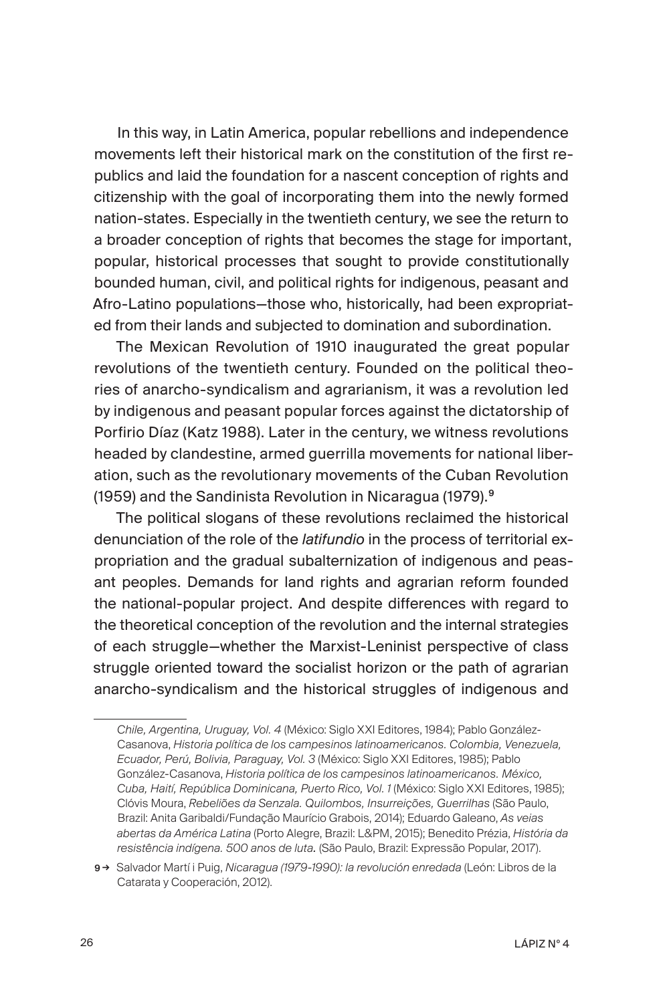In this way, in Latin America, popular rebellions and independence movements left their historical mark on the constitution of the first republics and laid the foundation for a nascent conception of rights and citizenship with the goal of incorporating them into the newly formed nation-states. Especially in the twentieth century, we see the return to a broader conception of rights that becomes the stage for important, popular, historical processes that sought to provide constitutionally bounded human, civil, and political rights for indigenous, peasant and Afro-Latino populations—those who, historically, had been expropriated from their lands and subjected to domination and subordination.

The Mexican Revolution of 1910 inaugurated the great popular revolutions of the twentieth century. Founded on the political theories of anarcho-syndicalism and agrarianism, it was a revolution led by indigenous and peasant popular forces against the dictatorship of Porfirio Díaz (Katz 1988). Later in the century, we witness revolutions headed by clandestine, armed guerrilla movements for national liberation, such as the revolutionary movements of the Cuban Revolution (1959) and the Sandinista Revolution in Nicaragua (1979).<sup>9</sup>

The political slogans of these revolutions reclaimed the historical denunciation of the role of the *latifundio* in the process of territorial expropriation and the gradual subalternization of indigenous and peasant peoples. Demands for land rights and agrarian reform founded the national-popular project. And despite differences with regard to the theoretical conception of the revolution and the internal strategies of each struggle—whether the Marxist-Leninist perspective of class struggle oriented toward the socialist horizon or the path of agrarian anarcho-syndicalism and the historical struggles of indigenous and

*Chile, Argentina, Uruguay, Vol. 4* (México: Siglo XXI Editores, 1984); Pablo González-Casanova, *Historia política de los campesinos latinoamericanos. Colombia, Venezuela, Ecuador, Perú, Bolivia, Paraguay, Vol. 3* (México: Siglo XXI Editores, 1985); Pablo González-Casanova, *Historia política de los campesinos latinoamericanos. México, Cuba, Haití, República Dominicana, Puerto Rico, Vol. 1* (México: Siglo XXI Editores, 1985); Clóvis Moura, *Rebeliões da Senzala. Quilombos, Insurreições, Guerrilhas* (São Paulo, Brazil: Anita Garibaldi/Fundação Maurício Grabois, 2014); Eduardo Galeano, *As veias abertas da América Latina* (Porto Alegre, Brazil: L&PM, 2015); Benedito Prézia, *História da resistência indígena. 500 anos de luta.* (São Paulo, Brazil: Expressão Popular, 2017).

<sup>9</sup> → Salvador Martí i Puig, *Nicaragua (1979-1990): la revolución enredada* (León: Libros de la Catarata y Cooperación, 2012).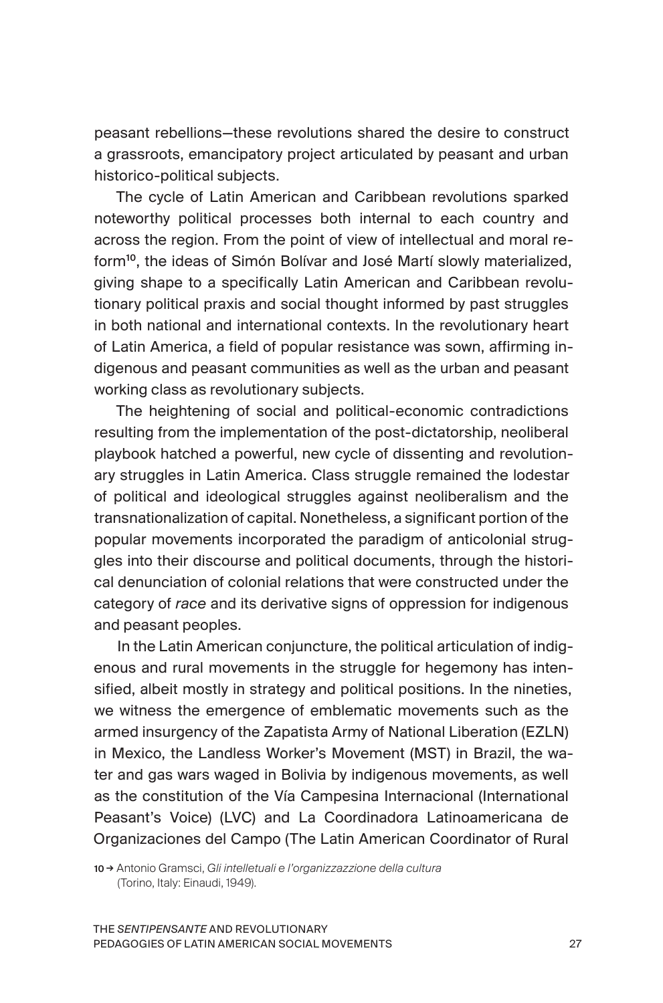peasant rebellions—these revolutions shared the desire to construct a grassroots, emancipatory project articulated by peasant and urban historico-political subjects.

The cycle of Latin American and Caribbean revolutions sparked noteworthy political processes both internal to each country and across the region. From the point of view of intellectual and moral reform<sup>10</sup>, the ideas of Simón Bolívar and José Martí slowly materialized, giving shape to a specifically Latin American and Caribbean revolutionary political praxis and social thought informed by past struggles in both national and international contexts. In the revolutionary heart of Latin America, a field of popular resistance was sown, affirming indigenous and peasant communities as well as the urban and peasant working class as revolutionary subjects.

The heightening of social and political-economic contradictions resulting from the implementation of the post-dictatorship, neoliberal playbook hatched a powerful, new cycle of dissenting and revolutionary struggles in Latin America. Class struggle remained the lodestar of political and ideological struggles against neoliberalism and the transnationalization of capital. Nonetheless, a significant portion of the popular movements incorporated the paradigm of anticolonial struggles into their discourse and political documents, through the historical denunciation of colonial relations that were constructed under the category of *race* and its derivative signs of oppression for indigenous and peasant peoples.

In the Latin American conjuncture, the political articulation of indigenous and rural movements in the struggle for hegemony has intensified, albeit mostly in strategy and political positions. In the nineties, we witness the emergence of emblematic movements such as the armed insurgency of the Zapatista Army of National Liberation (EZLN) in Mexico, the Landless Worker's Movement (MST) in Brazil, the water and gas wars waged in Bolivia by indigenous movements, as well as the constitution of the Vía Campesina Internacional (International Peasant's Voice) (LVC) and La Coordinadora Latinoamericana de Organizaciones del Campo (The Latin American Coordinator of Rural

10 → Antonio Gramsci, *Gli intelletuali e l'organizzazzione della cultura* (Torino, Italy: Einaudi, 1949).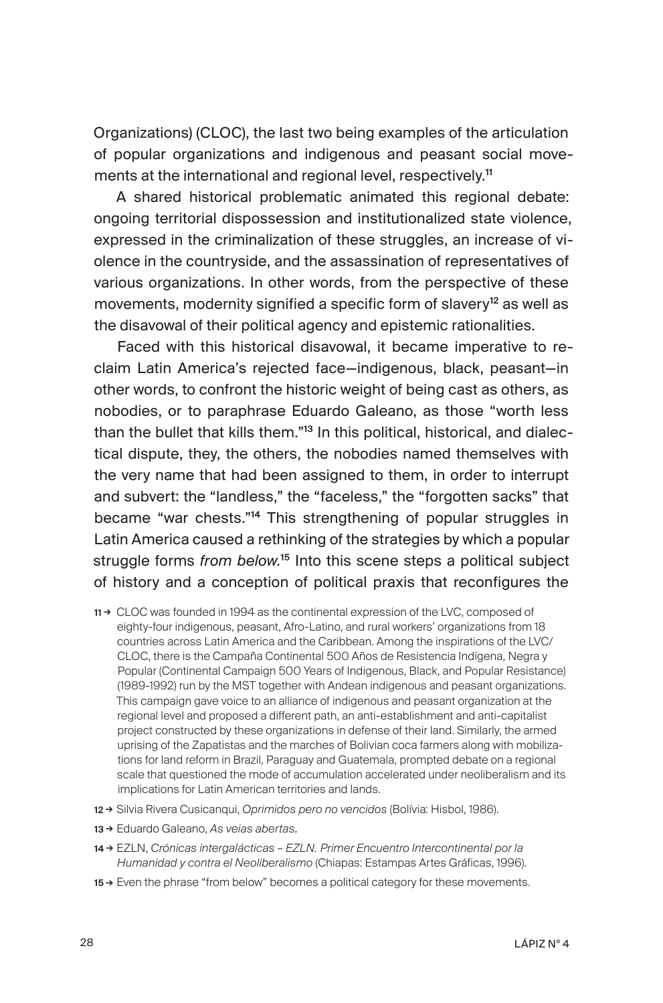Organizations) (CLOC), the last two being examples of the articulation of popular organizations and indigenous and peasant social movements at the international and regional level, respectively.<sup>11</sup>

A shared historical problematic animated this regional debate: ongoing territorial dispossession and institutionalized state violence, expressed in the criminalization of these struggles, an increase of violence in the countryside, and the assassination of representatives of various organizations. In other words, from the perspective of these movements, modernity signified a specific form of slavery<sup>12</sup> as well as the disavowal of their political agency and epistemic rationalities.

Faced with this historical disavowal, it became imperative to reclaim Latin America's rejected face—indigenous, black, peasant—in other words, to confront the historic weight of being cast as others, as nobodies, or to paraphrase Eduardo Galeano, as those "worth less than the bullet that kills them."13 In this political, historical, and dialectical dispute, they, the others, the nobodies named themselves with the very name that had been assigned to them, in order to interrupt and subvert: the "landless," the "faceless," the "forgotten sacks" that became "war chests."<sup>14</sup> This strengthening of popular struggles in Latin America caused a rethinking of the strategies by which a popular struggle forms *from below.*<sup>15</sup> Into this scene steps a political subject of history and a conception of political praxis that reconfigures the

- 11 → CLOC was founded in 1994 as the continental expression of the LVC, composed of eighty-four indigenous, peasant, Afro-Latino, and rural workers' organizations from 18 countries across Latin America and the Caribbean. Among the inspirations of the LVC/ CLOC, there is the Campaña Continental 500 Años de Resistencia Indígena, Negra y Popular (Continental Campaign 500 Years of Indigenous, Black, and Popular Resistance) (1989-1992) run by the MST together with Andean indigenous and peasant organizations. This campaign gave voice to an alliance of indigenous and peasant organization at the regional level and proposed a different path, an anti-establishment and anti-capitalist project constructed by these organizations in defense of their land. Similarly, the armed uprising of the Zapatistas and the marches of Bolivian coca farmers along with mobilizations for land reform in Brazil, Paraguay and Guatemala, prompted debate on a regional scale that questioned the mode of accumulation accelerated under neoliberalism and its implications for Latin American territories and lands.
- 12 → Silvia Rivera Cusicanqui, *Oprimidos pero no vencidos* (Bolívia: Hisbol, 1986).
- 13 → Eduardo Galeano, *As veias abertas.*
- 14 → EZLN, *Crónicas intergalácticas EZLN. Primer Encuentro Intercontinental por la Humanidad y contra el Neoliberalismo* (Chiapas: Estampas Artes Gráficas, 1996).
- 15 → Even the phrase "from below" becomes a political category for these movements.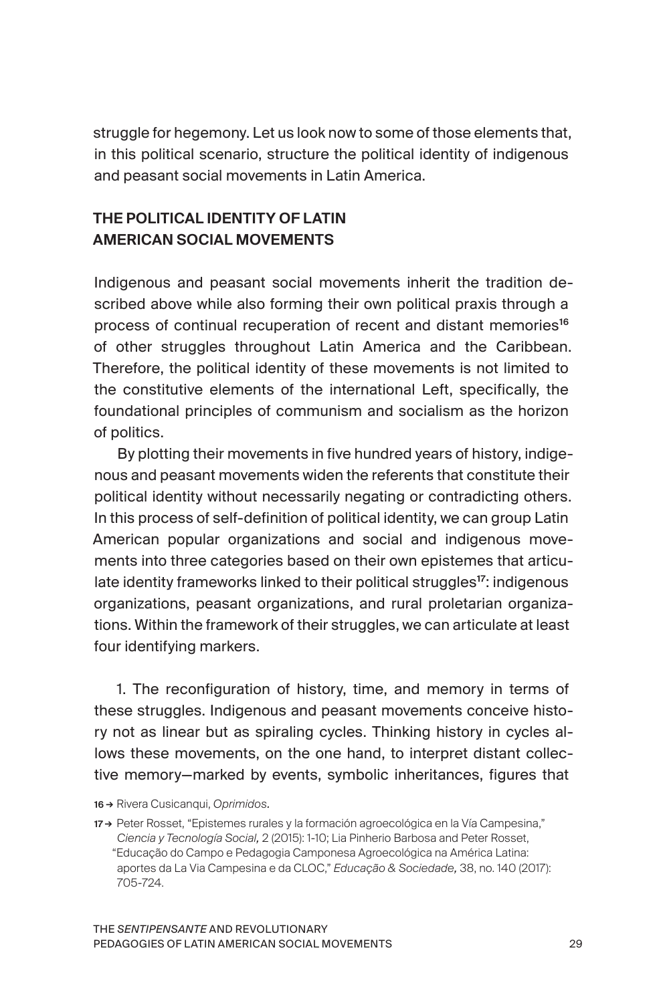struggle for hegemony. Let us look now to some of those elements that, in this political scenario, structure the political identity of indigenous and peasant social movements in Latin America.

# THE POLITICAL IDENTITY OF LATIN AMERICAN SOCIAL MOVEMENTS

Indigenous and peasant social movements inherit the tradition described above while also forming their own political praxis through a process of continual recuperation of recent and distant memories<sup>16</sup> of other struggles throughout Latin America and the Caribbean. Therefore, the political identity of these movements is not limited to the constitutive elements of the international Left, specifically, the foundational principles of communism and socialism as the horizon of politics.

By plotting their movements in five hundred years of history, indigenous and peasant movements widen the referents that constitute their political identity without necessarily negating or contradicting others. In this process of self-definition of political identity, we can group Latin American popular organizations and social and indigenous movements into three categories based on their own epistemes that articulate identity frameworks linked to their political struggles<sup>17</sup>: indigenous organizations, peasant organizations, and rural proletarian organizations. Within the framework of their struggles, we can articulate at least four identifying markers.

1. The reconfiguration of history, time, and memory in terms of these struggles. Indigenous and peasant movements conceive history not as linear but as spiraling cycles. Thinking history in cycles allows these movements, on the one hand, to interpret distant collective memory—marked by events, symbolic inheritances, figures that

<sup>16</sup> → Rivera Cusicanqui, *Oprimidos.* 

<sup>17 →</sup> Peter Rosset, "Epistemes rurales y la formación agroecológica en la Vía Campesina," *Ciencia y Tecnología Social,* 2 (2015): 1-10; Lia Pinherio Barbosa and Peter Rosset, "Educação do Campo e Pedagogia Camponesa Agroecológica na América Latina: aportes da La Via Campesina e da CLOC," *Educação & Sociedade,* 38, no. 140 (2017): 705-724.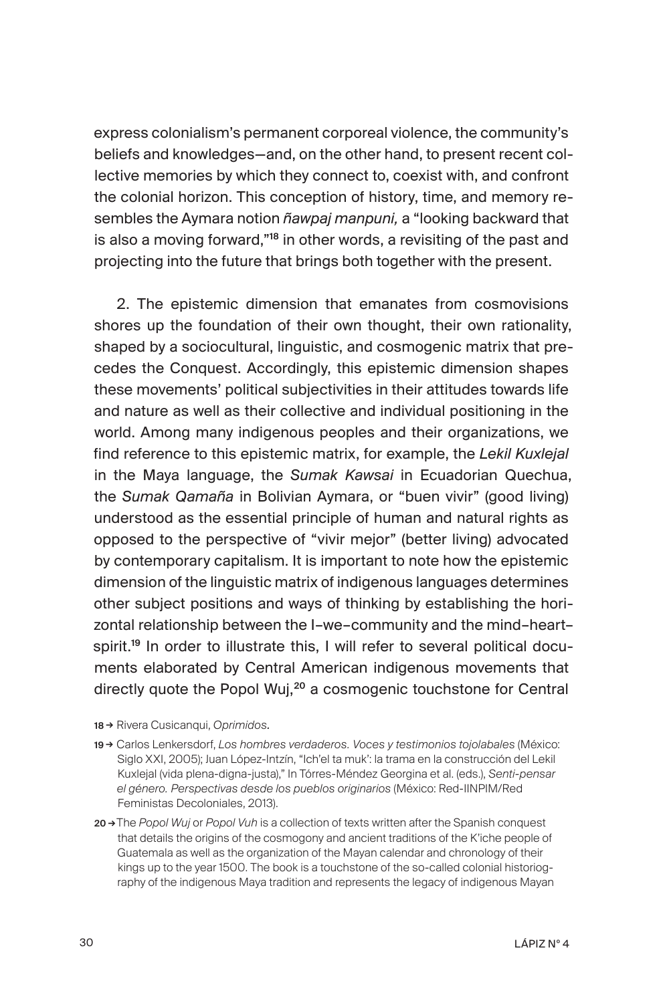express colonialism's permanent corporeal violence, the community's beliefs and knowledges—and, on the other hand, to present recent collective memories by which they connect to, coexist with, and confront the colonial horizon. This conception of history, time, and memory resembles the Aymara notion *ñawpaj manpuni,* a "looking backward that is also a moving forward,"<sup>18</sup> in other words, a revisiting of the past and projecting into the future that brings both together with the present.

2. The epistemic dimension that emanates from cosmovisions shores up the foundation of their own thought, their own rationality, shaped by a sociocultural, linguistic, and cosmogenic matrix that precedes the Conquest. Accordingly, this epistemic dimension shapes these movements' political subjectivities in their attitudes towards life and nature as well as their collective and individual positioning in the world. Among many indigenous peoples and their organizations, we find reference to this epistemic matrix, for example, the *Lekil Kuxlejal*  in the Maya language, the *Sumak Kawsai* in Ecuadorian Quechua, the *Sumak Qamaña* in Bolivian Aymara, or "buen vivir" (good living) understood as the essential principle of human and natural rights as opposed to the perspective of "vivir mejor" (better living) advocated by contemporary capitalism. It is important to note how the epistemic dimension of the linguistic matrix of indigenous languages determines other subject positions and ways of thinking by establishing the horizontal relationship between the I–we–community and the mind–heart– spirit.<sup>19</sup> In order to illustrate this, I will refer to several political documents elaborated by Central American indigenous movements that directly quote the Popol Wuj,<sup>20</sup> a cosmogenic touchstone for Central

- 18 → Rivera Cusicanqui, *Oprimidos.*
- 19 → Carlos Lenkersdorf, *Los hombres verdaderos. Voces y testimonios tojolabales* (México: Siglo XXI, 2005); Juan López-Intzín, "Ich'el ta muk': la trama en la construcción del Lekil Kuxlejal (vida plena-digna-justa)," In Tórres-Méndez Georgina et al. (eds.), *Senti-pensar el género. Perspectivas desde los pueblos originarios* (México: Red-IINPIM/Red Feministas Decoloniales, 2013).
- 20 →The *Popol Wuj* or *Popol Vuh* is a collection of texts written after the Spanish conquest that details the origins of the cosmogony and ancient traditions of the K'iche people of Guatemala as well as the organization of the Mayan calendar and chronology of their kings up to the year 1500. The book is a touchstone of the so-called colonial historiography of the indigenous Maya tradition and represents the legacy of indigenous Mayan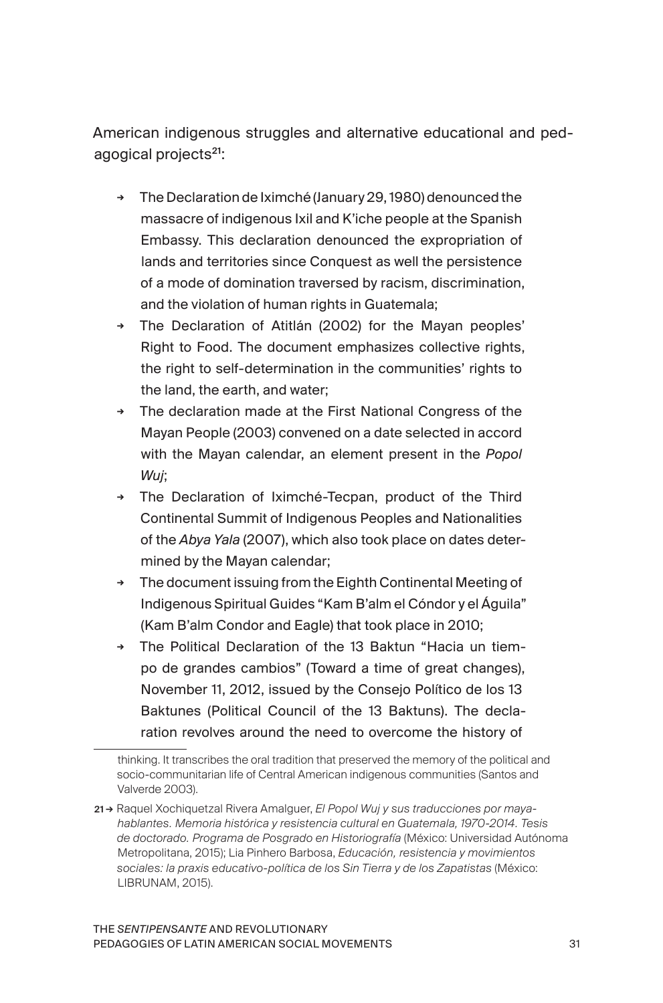American indigenous struggles and alternative educational and pedagogical projects<sup>21</sup>:

- **<sup>→</sup>** The Declaration de Iximché (January 29, 1980) denounced the massacre of indigenous Ixil and K'iche people at the Spanish Embassy. This declaration denounced the expropriation of lands and territories since Conquest as well the persistence of a mode of domination traversed by racism, discrimination, and the violation of human rights in Guatemala;
- **<sup>→</sup>** The Declaration of Atitlán (2002) for the Mayan peoples' Right to Food. The document emphasizes collective rights, the right to self-determination in the communities' rights to the land, the earth, and water;
- **<sup>→</sup>** The declaration made at the First National Congress of the Mayan People (2003) convened on a date selected in accord with the Mayan calendar, an element present in the *Popol Wuj*;
- **<sup>→</sup>** The Declaration of Iximché-Tecpan, product of the Third Continental Summit of Indigenous Peoples and Nationalities of the *Abya Yala* (2007), which also took place on dates determined by the Mayan calendar;
- **<sup>→</sup>** The document issuing from the Eighth Continental Meeting of Indigenous Spiritual Guides "Kam B'alm el Cóndor y el Águila" (Kam B'alm Condor and Eagle) that took place in 2010;
- **<sup>→</sup>** The Political Declaration of the 13 Baktun "Hacia un tiempo de grandes cambios" (Toward a time of great changes), November 11, 2012, issued by the Consejo Político de los 13 Baktunes (Political Council of the 13 Baktuns). The declaration revolves around the need to overcome the history of

thinking. It transcribes the oral tradition that preserved the memory of the political and socio-communitarian life of Central American indigenous communities (Santos and Valverde 2003).

<sup>21</sup> → Raquel Xochiquetzal Rivera Amalguer, *El Popol Wuj y sus traducciones por mayahablantes. Memoria histórica y resistencia cultural en Guatemala, 1970-2014. Tesis de doctorado. Programa de Posgrado en Historiografía* (México: Universidad Autónoma Metropolitana, 2015); Lia Pinhero Barbosa, *Educación, resistencia y movimientos sociales: la praxis educativo-política de los Sin Tierra y de los Zapatistas* (México: LIBRUNAM, 2015).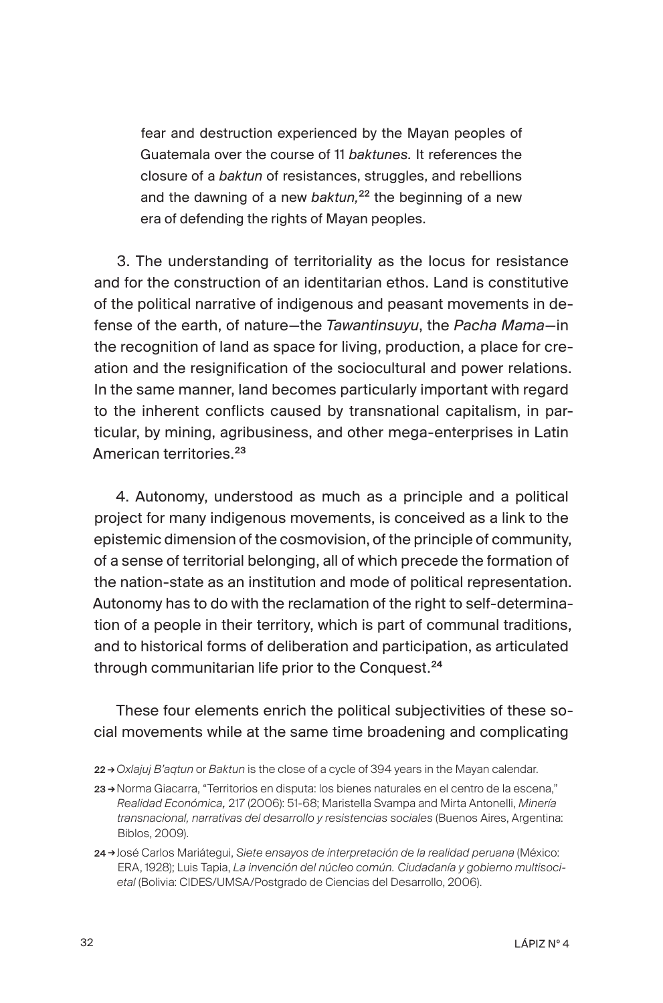fear and destruction experienced by the Mayan peoples of Guatemala over the course of 11 *baktunes.* It references the closure of a *baktun* of resistances, struggles, and rebellions and the dawning of a new *baktun*,<sup>22</sup> the beginning of a new era of defending the rights of Mayan peoples.

3. The understanding of territoriality as the locus for resistance and for the construction of an identitarian ethos. Land is constitutive of the political narrative of indigenous and peasant movements in defense of the earth, of nature—the *Tawantinsuyu*, the *Pacha Mama*—in the recognition of land as space for living, production, a place for creation and the resignification of the sociocultural and power relations. In the same manner, land becomes particularly important with regard to the inherent conflicts caused by transnational capitalism, in particular, by mining, agribusiness, and other mega-enterprises in Latin American territories.<sup>23</sup>

4. Autonomy, understood as much as a principle and a political project for many indigenous movements, is conceived as a link to the epistemic dimension of the cosmovision, of the principle of community, of a sense of territorial belonging, all of which precede the formation of the nation-state as an institution and mode of political representation. Autonomy has to do with the reclamation of the right to self-determination of a people in their territory, which is part of communal traditions, and to historical forms of deliberation and participation, as articulated through communitarian life prior to the Conquest.<sup>24</sup>

These four elements enrich the political subjectivities of these social movements while at the same time broadening and complicating

- 22 → *Oxlajuj B'aqtun* or *Baktun* is the close of a cycle of 394 years in the Mayan calendar.
- 23 → Norma Giacarra, "Territorios en disputa: los bienes naturales en el centro de la escena," *Realidad Económica,* 217 (2006): 51-68; Maristella Svampa and Mirta Antonelli, *Minería transnacional, narrativas del desarrollo y resistencias sociales* (Buenos Aires, Argentina: Biblos, 2009).
- 24 →José Carlos Mariátegui, *Siete ensayos de interpretación de la realidad peruana* (México: ERA, 1928); Luis Tapia, *La invención del núcleo común. Ciudadanía y gobierno multisocietal* (Bolivia: CIDES/UMSA/Postgrado de Ciencias del Desarrollo, 2006).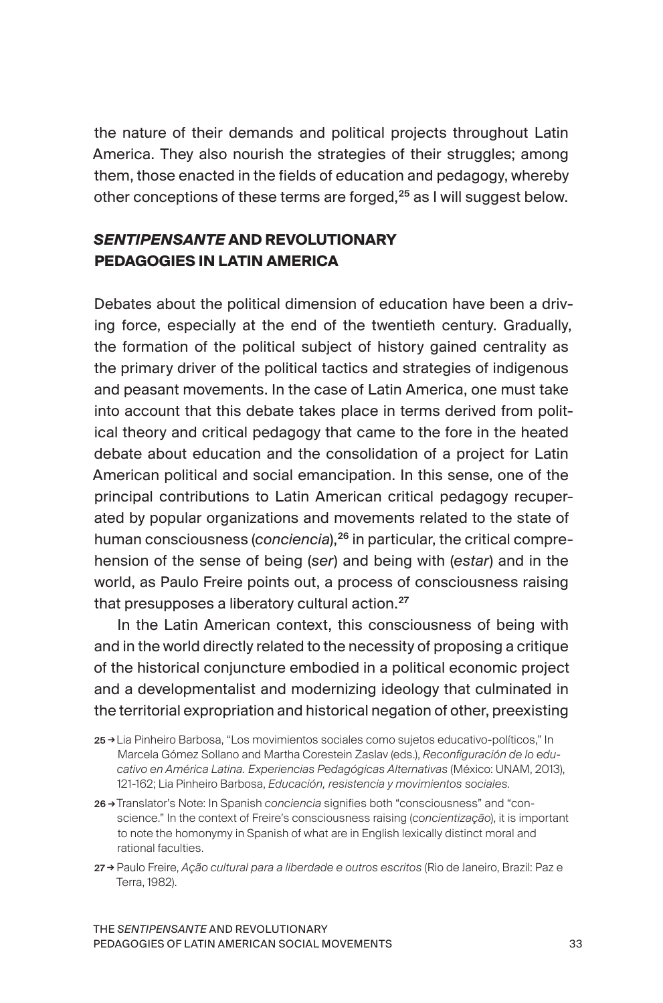the nature of their demands and political projects throughout Latin America. They also nourish the strategies of their struggles; among them, those enacted in the fields of education and pedagogy, whereby other conceptions of these terms are forged, $25$  as I will suggest below.

## *SENTIPENSANTE* **AND REVOLUTIONARY PEDAGOGIES IN LATIN AMERICA**

Debates about the political dimension of education have been a driving force, especially at the end of the twentieth century. Gradually, the formation of the political subject of history gained centrality as the primary driver of the political tactics and strategies of indigenous and peasant movements. In the case of Latin America, one must take into account that this debate takes place in terms derived from political theory and critical pedagogy that came to the fore in the heated debate about education and the consolidation of a project for Latin American political and social emancipation. In this sense, one of the principal contributions to Latin American critical pedagogy recuperated by popular organizations and movements related to the state of human consciousness (*conciencia*),<sup>26</sup> in particular, the critical comprehension of the sense of being (*ser*) and being with (*estar*) and in the world, as Paulo Freire points out, a process of consciousness raising that presupposes a liberatory cultural action.<sup>27</sup>

In the Latin American context, this consciousness of being with and in the world directly related to the necessity of proposing a critique of the historical conjuncture embodied in a political economic project and a developmentalist and modernizing ideology that culminated in the territorial expropriation and historical negation of other, preexisting

27 → Paulo Freire, *Ação cultural para a liberdade e outros escritos* (Rio de Janeiro, Brazil: Paz e Terra, 1982).

<sup>25</sup> → Lia Pinheiro Barbosa, "Los movimientos sociales como sujetos educativo-políticos," In Marcela Gómez Sollano and Martha Corestein Zaslav (eds.), *Reconfiguración de lo educativo en América Latina. Experiencias Pedagógicas Alternativas* (México: UNAM, 2013), 121-162; Lia Pinheiro Barbosa, *Educación, resistencia y movimientos sociales*.

<sup>26</sup> →Translator's Note: In Spanish *conciencia* signifies both "consciousness" and "conscience." In the context of Freire's consciousness raising (*concientização*), it is important to note the homonymy in Spanish of what are in English lexically distinct moral and rational faculties.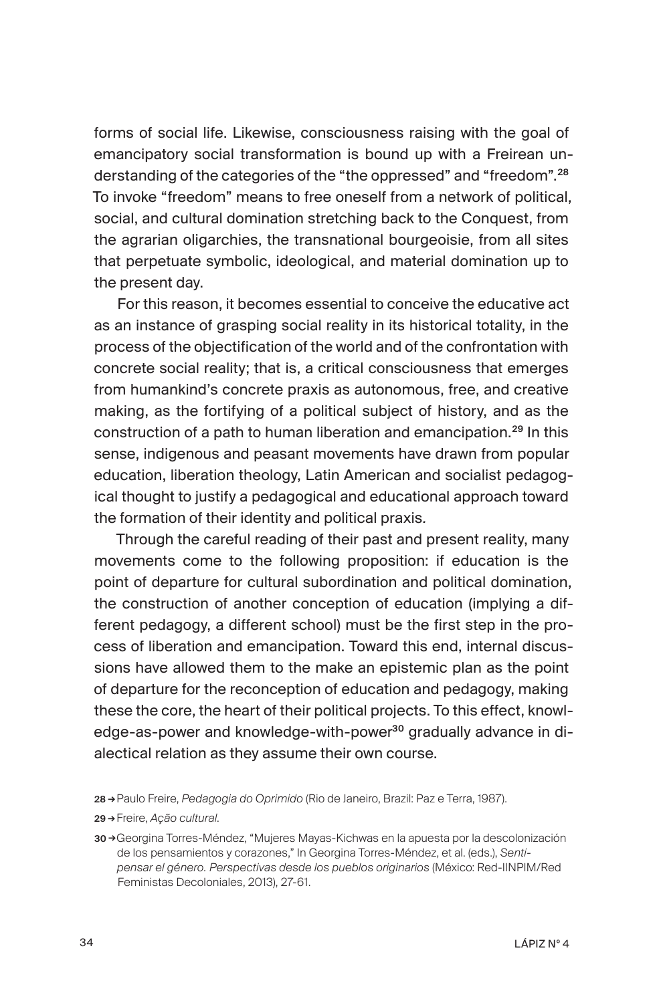forms of social life. Likewise, consciousness raising with the goal of emancipatory social transformation is bound up with a Freirean understanding of the categories of the "the oppressed" and "freedom".<sup>28</sup> To invoke "freedom" means to free oneself from a network of political, social, and cultural domination stretching back to the Conquest, from the agrarian oligarchies, the transnational bourgeoisie, from all sites that perpetuate symbolic, ideological, and material domination up to the present day.

For this reason, it becomes essential to conceive the educative act as an instance of grasping social reality in its historical totality, in the process of the objectification of the world and of the confrontation with concrete social reality; that is, a critical consciousness that emerges from humankind's concrete praxis as autonomous, free, and creative making, as the fortifying of a political subject of history, and as the construction of a path to human liberation and emancipation.<sup>29</sup> In this sense, indigenous and peasant movements have drawn from popular education, liberation theology, Latin American and socialist pedagogical thought to justify a pedagogical and educational approach toward the formation of their identity and political praxis*.*

Through the careful reading of their past and present reality, many movements come to the following proposition: if education is the point of departure for cultural subordination and political domination, the construction of another conception of education (implying a different pedagogy, a different school) must be the first step in the process of liberation and emancipation. Toward this end, internal discussions have allowed them to the make an epistemic plan as the point of departure for the reconception of education and pedagogy, making these the core, the heart of their political projects. To this effect, knowledge-as-power and knowledge-with-power<sup>30</sup> gradually advance in dialectical relation as they assume their own course.

28 →Paulo Freire, *Pedagogia do Oprimido* (Rio de Janeiro, Brazil: Paz e Terra, 1987).

29 →Freire, *Ação cultural*.

30 →Georgina Torres-Méndez, "Mujeres Mayas-Kichwas en la apuesta por la descolonización de los pensamientos y corazones," In Georgina Torres-Méndez, et al. (eds.), *Sentipensar el género. Perspectivas desde los pueblos originarios* (México: Red-IINPIM/Red Feministas Decoloniales, 2013), 27-61.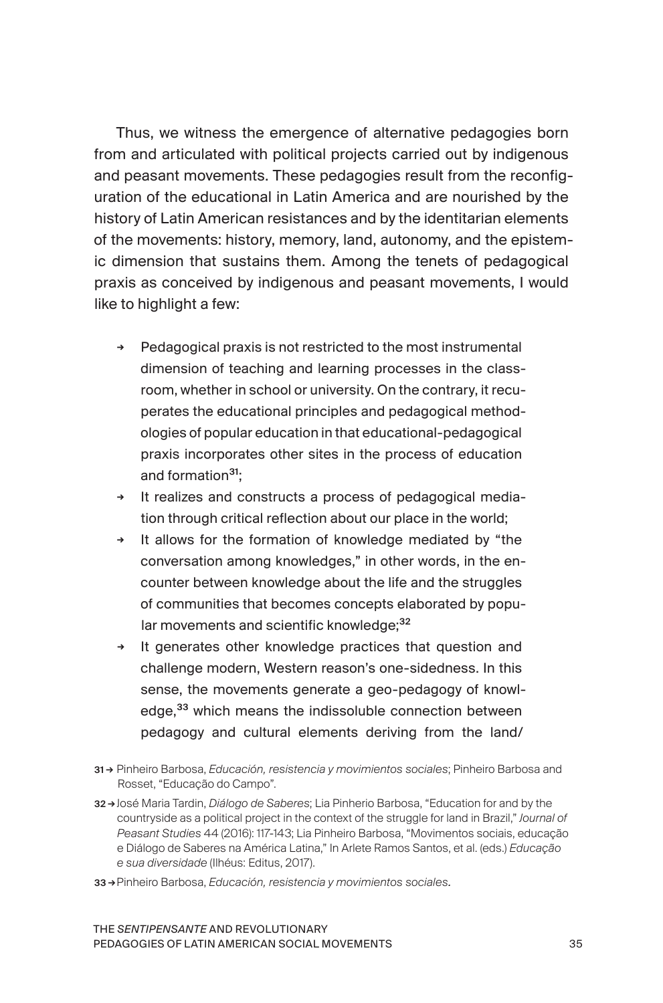Thus, we witness the emergence of alternative pedagogies born from and articulated with political projects carried out by indigenous and peasant movements. These pedagogies result from the reconfiguration of the educational in Latin America and are nourished by the history of Latin American resistances and by the identitarian elements of the movements: history, memory, land, autonomy, and the epistemic dimension that sustains them. Among the tenets of pedagogical praxis as conceived by indigenous and peasant movements, I would like to highlight a few:

- **<sup>→</sup>** Pedagogical praxis is not restricted to the most instrumental dimension of teaching and learning processes in the classroom, whether in school or university. On the contrary, it recuperates the educational principles and pedagogical methodologies of popular education in that educational-pedagogical praxis incorporates other sites in the process of education and formation<sup>31.</sup>
- **<sup>→</sup>** It realizes and constructs a process of pedagogical mediation through critical reflection about our place in the world;
- **<sup>→</sup>** It allows for the formation of knowledge mediated by "the conversation among knowledges," in other words, in the encounter between knowledge about the life and the struggles of communities that becomes concepts elaborated by popular movements and scientific knowledge; 32
- **<sup>→</sup>** It generates other knowledge practices that question and challenge modern, Western reason's one-sidedness. In this sense, the movements generate a geo-pedagogy of knowledge,<sup>33</sup> which means the indissoluble connection between pedagogy and cultural elements deriving from the land/
- 31 → Pinheiro Barbosa, *Educación, resistencia y movimientos sociales*; Pinheiro Barbosa and Rosset, "Educação do Campo".
- 32 → José Maria Tardin, *Diálogo de Saberes*; Lia Pinherio Barbosa, "Education for and by the countryside as a political project in the context of the struggle for land in Brazil," *Journal of Peasant Studies* 44 (2016): 117-143; Lia Pinheiro Barbosa, "Movimentos sociais, educação e Diálogo de Saberes na América Latina," In Arlete Ramos Santos, et al. (eds.) *Educação e sua diversidade* (Ilhéus: Editus, 2017).
- 33 →Pinheiro Barbosa, *Educación, resistencia y movimientos sociales.*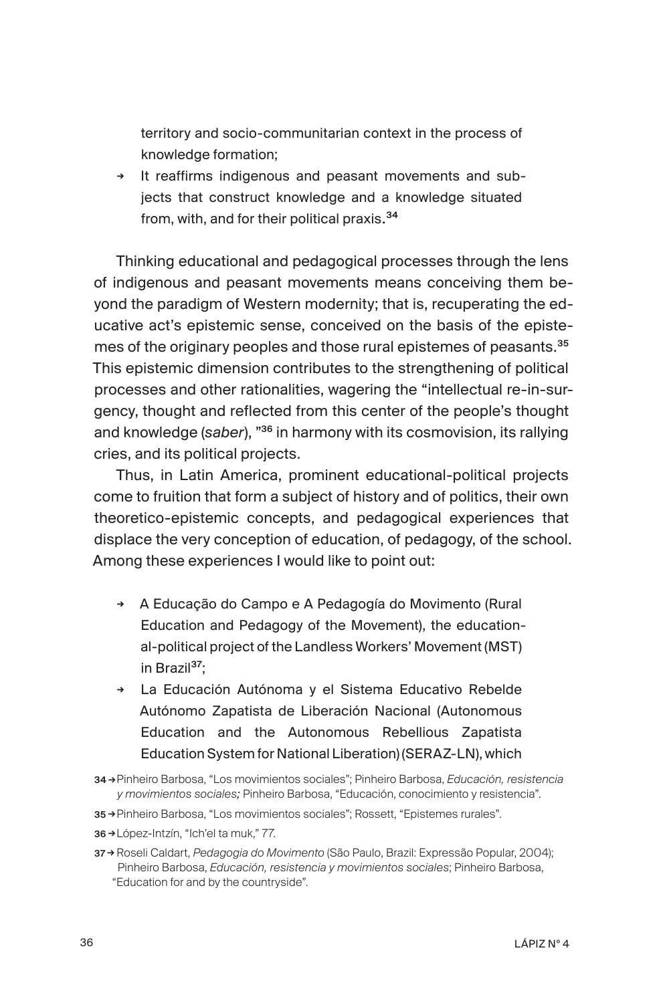territory and socio-communitarian context in the process of knowledge formation;

**<sup>→</sup>** It reaffirms indigenous and peasant movements and subjects that construct knowledge and a knowledge situated from, with, and for their political praxis. 34

Thinking educational and pedagogical processes through the lens of indigenous and peasant movements means conceiving them beyond the paradigm of Western modernity; that is, recuperating the educative act's epistemic sense, conceived on the basis of the epistemes of the originary peoples and those rural epistemes of peasants.<sup>35</sup> This epistemic dimension contributes to the strengthening of political processes and other rationalities, wagering the "intellectual re-in-surgency, thought and reflected from this center of the people's thought and knowledge (*saber*), "<sup>36</sup> in harmony with its cosmovision, its rallying cries, and its political projects.

Thus, in Latin America, prominent educational-political projects come to fruition that form a subject of history and of politics, their own theoretico-epistemic concepts, and pedagogical experiences that displace the very conception of education, of pedagogy, of the school. Among these experiences I would like to point out:

- **<sup>→</sup>** A Educação do Campo e A Pedagogía do Movimento (Rural Education and Pedagogy of the Movement), the educational-political project of the Landless Workers' Movement (MST) in Brazil<sup>37</sup>;
- **<sup>→</sup>** La Educación Autónoma y el Sistema Educativo Rebelde Autónomo Zapatista de Liberación Nacional (Autonomous Education and the Autonomous Rebellious Zapatista Education System for National Liberation) (SERAZ-LN), which
- 34 →Pinheiro Barbosa, "Los movimientos sociales"; Pinheiro Barbosa, *Educación, resistencia y movimientos sociales;* Pinheiro Barbosa, "Educación, conocimiento y resistencia".
- 35 →Pinheiro Barbosa, "Los movimientos sociales"; Rossett, "Epistemes rurales".
- 36 →López-Intzín, "Ich'el ta muk," 77.

<sup>37</sup> → Roseli Caldart, *Pedagogia do Movimento* (São Paulo, Brazil: Expressão Popular, 2004); Pinheiro Barbosa, *Educación, resistencia y movimientos sociales*; Pinheiro Barbosa, "Education for and by the countryside".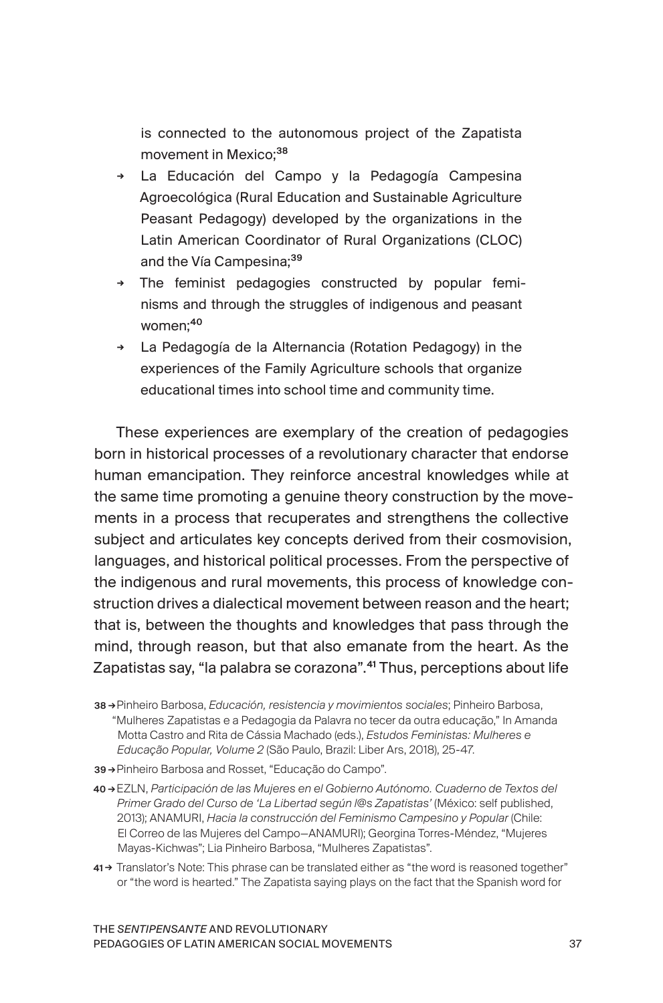is connected to the autonomous project of the Zapatista movement in Mexico;<sup>38</sup>

- **<sup>→</sup>** La Educación del Campo y la Pedagogía Campesina Agroecológica (Rural Education and Sustainable Agriculture Peasant Pedagogy) developed by the organizations in the Latin American Coordinator of Rural Organizations (CLOC) and the Vía Campesina;<sup>39</sup>
- **<sup>→</sup>** The feminist pedagogies constructed by popular feminisms and through the struggles of indigenous and peasant women:<sup>40</sup>
- **<sup>→</sup>** La Pedagogía de la Alternancia (Rotation Pedagogy) in the experiences of the Family Agriculture schools that organize educational times into school time and community time.

These experiences are exemplary of the creation of pedagogies born in historical processes of a revolutionary character that endorse human emancipation. They reinforce ancestral knowledges while at the same time promoting a genuine theory construction by the movements in a process that recuperates and strengthens the collective subject and articulates key concepts derived from their cosmovision, languages, and historical political processes. From the perspective of the indigenous and rural movements, this process of knowledge construction drives a dialectical movement between reason and the heart; that is, between the thoughts and knowledges that pass through the mind, through reason, but that also emanate from the heart. As the Zapatistas say, "la palabra se corazona".<sup>41</sup> Thus, perceptions about life

- 38 →Pinheiro Barbosa, *Educación, resistencia y movimientos sociales*; Pinheiro Barbosa, "Mulheres Zapatistas e a Pedagogia da Palavra no tecer da outra educação," In Amanda Motta Castro and Rita de Cássia Machado (eds.), *Estudos Feministas: Mulheres e Educação Popular, Volume 2* (São Paulo, Brazil: Liber Ars, 2018), 25-47.
- 39 →Pinheiro Barbosa and Rosset, "Educação do Campo".
- 40 →EZLN, *Participación de las Mujeres en el Gobierno Autónomo. Cuaderno de Textos del Primer Grado del Curso de 'La Libertad según l@s Zapatistas'* (México: self published, 2013); ANAMURI, *Hacia la construcción del Feminismo Campesino y Popular* (Chile: El Correo de las Mujeres del Campo—ANAMURI); Georgina Torres-Méndez, "Mujeres Mayas-Kichwas"; Lia Pinheiro Barbosa, "Mulheres Zapatistas".
- 41 → Translator's Note: This phrase can be translated either as "the word is reasoned together" or "the word is hearted." The Zapatista saying plays on the fact that the Spanish word for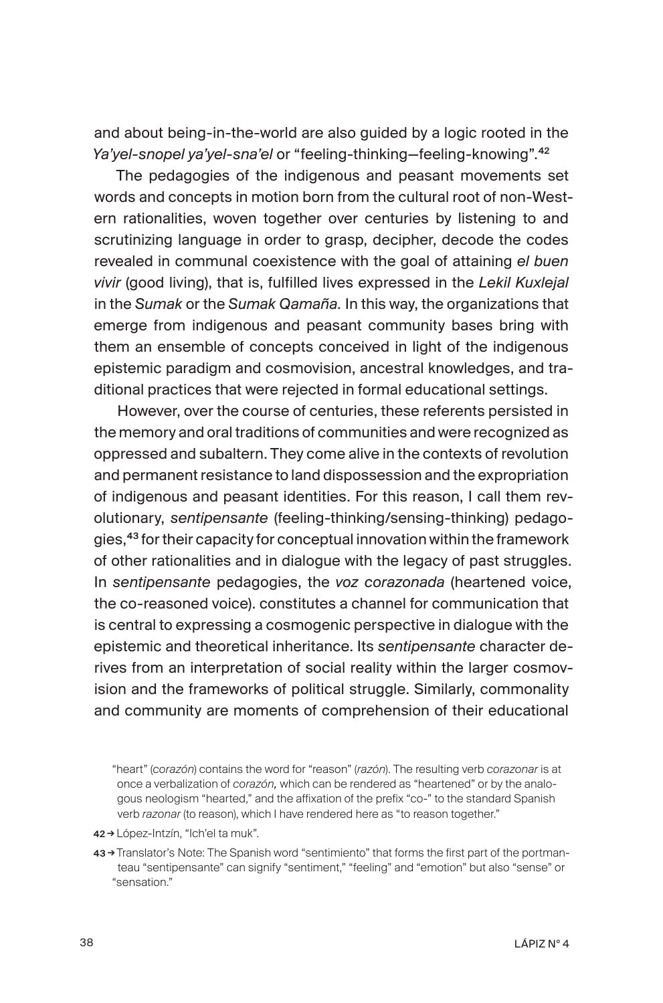and about being-in-the-world are also guided by a logic rooted in the *Ya'yel-snopel ya'yel-sna'el* or "feeling-thinking—feeling-knowing".<sup>42</sup>

The pedagogies of the indigenous and peasant movements set words and concepts in motion born from the cultural root of non-Western rationalities, woven together over centuries by listening to and scrutinizing language in order to grasp, decipher, decode the codes revealed in communal coexistence with the goal of attaining *el buen vivir* (good living), that is, fulfilled lives expressed in the *Lekil Kuxlejal* in the *Sumak* or the *Sumak Qamaña.* In this way, the organizations that emerge from indigenous and peasant community bases bring with them an ensemble of concepts conceived in light of the indigenous epistemic paradigm and cosmovision, ancestral knowledges, and traditional practices that were rejected in formal educational settings.

However, over the course of centuries, these referents persisted in the memory and oral traditions of communities and were recognized as oppressed and subaltern. They come alive in the contexts of revolution and permanent resistance to land dispossession and the expropriation of indigenous and peasant identities. For this reason, I call them revolutionary, *sentipensante* (feeling-thinking/sensing-thinking) pedagogies,<sup>43</sup> for their capacity for conceptual innovation within the framework of other rationalities and in dialogue with the legacy of past struggles. In *sentipensante* pedagogies, the *voz corazonada* (heartened voice, the co-reasoned voice). constitutes a channel for communication that is central to expressing a cosmogenic perspective in dialogue with the epistemic and theoretical inheritance. Its *sentipensante* character derives from an interpretation of social reality within the larger cosmovision and the frameworks of political struggle. Similarly, commonality and community are moments of comprehension of their educational

42 → López-Intzín, "Ich'el ta muk".

43 → Translator's Note: The Spanish word "sentimiento" that forms the first part of the portmanteau "sentipensante" can signify "sentiment," "feeling" and "emotion" but also "sense" or "sensation."

<sup>&</sup>quot;heart" (*corazón*) contains the word for "reason" (*razón*). The resulting verb *corazonar* is at once a verbalization of *corazón,* which can be rendered as "heartened" or by the analogous neologism "hearted," and the affixation of the prefix "co-" to the standard Spanish verb *razonar* (to reason), which I have rendered here as "to reason together."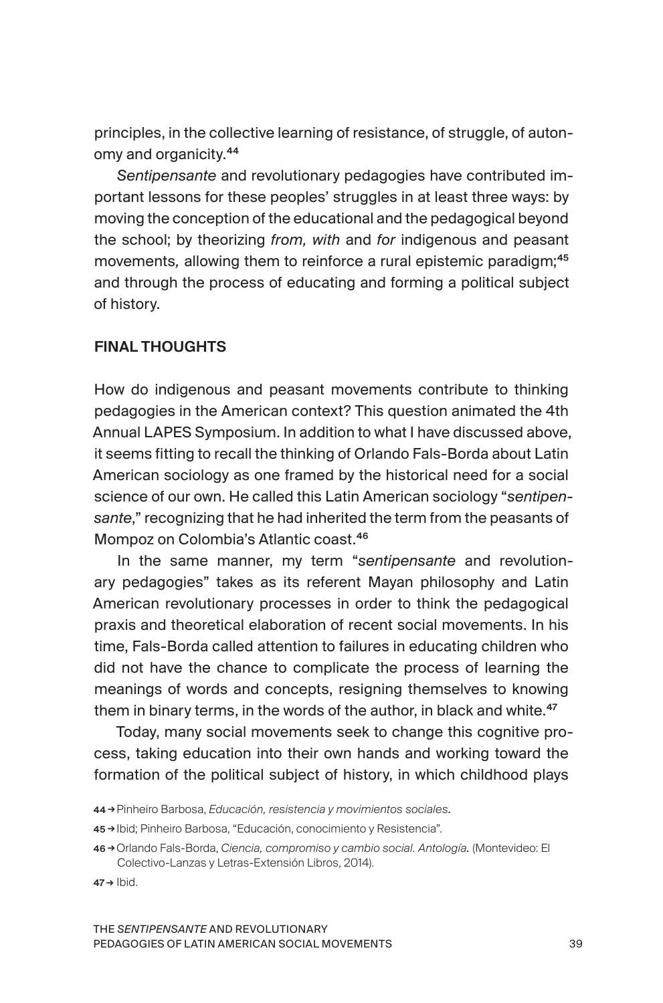principles, in the collective learning of resistance, of struggle, of autonomy and organicity.<sup>44</sup>

*Sentipensante* and revolutionary pedagogies have contributed important lessons for these peoples' struggles in at least three ways: by moving the conception of the educational and the pedagogical beyond the school; by theorizing *from, with* and *for* indigenous and peasant movements, allowing them to reinforce a rural epistemic paradigm;<sup>45</sup> and through the process of educating and forming a political subject of history.

### FINAL THOUGHTS

How do indigenous and peasant movements contribute to thinking pedagogies in the American context? This question animated the 4th Annual LAPES Symposium. In addition to what I have discussed above, it seems fitting to recall the thinking of Orlando Fals-Borda about Latin American sociology as one framed by the historical need for a social science of our own. He called this Latin American sociology "*sentipensante*," recognizing that he had inherited the term from the peasants of Mompoz on Colombia's Atlantic coast.<sup>46</sup>

In the same manner, my term "*sentipensante* and revolutionary pedagogies" takes as its referent Mayan philosophy and Latin American revolutionary processes in order to think the pedagogical praxis and theoretical elaboration of recent social movements. In his time, Fals-Borda called attention to failures in educating children who did not have the chance to complicate the process of learning the meanings of words and concepts, resigning themselves to knowing them in binary terms, in the words of the author, in black and white.<sup>47</sup>

Today, many social movements seek to change this cognitive process, taking education into their own hands and working toward the formation of the political subject of history, in which childhood plays

- 45 → Ibid; Pinheiro Barbosa, "Educación, conocimiento y Resistencia".
- 46 → Orlando Fals-Borda, *Ciencia, compromiso y cambio social. Antología.* (Montevideo: El Colectivo-Lanzas y Letras-Extensión Libros, 2014).

 $47 \rightarrow$  Ibid.

<sup>44</sup> →Pinheiro Barbosa, *Educación, resistencia y movimientos sociales.*